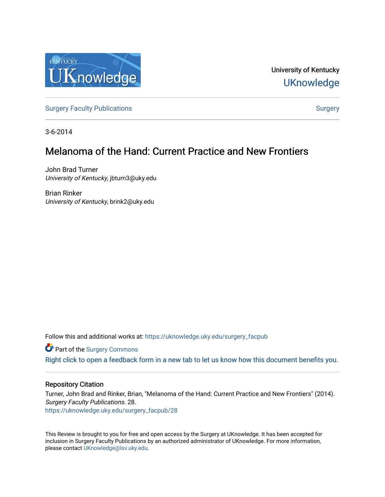

University of Kentucky **UKnowledge** 

[Surgery Faculty Publications](https://uknowledge.uky.edu/surgery_facpub) and the state of the [Surgery](https://uknowledge.uky.edu/surgery) Surgery

3-6-2014

# Melanoma of the Hand: Current Practice and New Frontiers

John Brad Turner University of Kentucky, jbturn3@uky.edu

Brian Rinker University of Kentucky, brink2@uky.edu

Follow this and additional works at: [https://uknowledge.uky.edu/surgery\\_facpub](https://uknowledge.uky.edu/surgery_facpub?utm_source=uknowledge.uky.edu%2Fsurgery_facpub%2F28&utm_medium=PDF&utm_campaign=PDFCoverPages) 

**Part of the Surgery Commons** 

[Right click to open a feedback form in a new tab to let us know how this document benefits you.](https://uky.az1.qualtrics.com/jfe/form/SV_9mq8fx2GnONRfz7)

# Repository Citation

Turner, John Brad and Rinker, Brian, "Melanoma of the Hand: Current Practice and New Frontiers" (2014). Surgery Faculty Publications. 28.

[https://uknowledge.uky.edu/surgery\\_facpub/28](https://uknowledge.uky.edu/surgery_facpub/28?utm_source=uknowledge.uky.edu%2Fsurgery_facpub%2F28&utm_medium=PDF&utm_campaign=PDFCoverPages)

This Review is brought to you for free and open access by the Surgery at UKnowledge. It has been accepted for inclusion in Surgery Faculty Publications by an authorized administrator of UKnowledge. For more information, please contact [UKnowledge@lsv.uky.edu.](mailto:UKnowledge@lsv.uky.edu)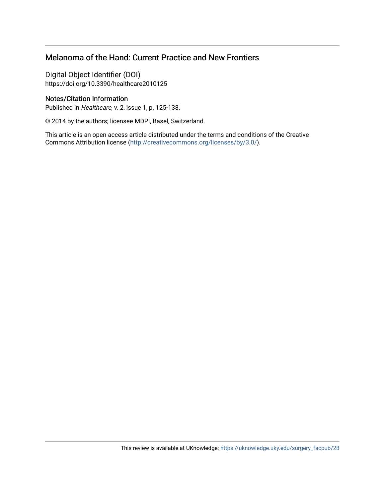# Melanoma of the Hand: Current Practice and New Frontiers

Digital Object Identifier (DOI) https://doi.org/10.3390/healthcare2010125

# Notes/Citation Information

Published in Healthcare, v. 2, issue 1, p. 125-138.

© 2014 by the authors; licensee MDPI, Basel, Switzerland.

This article is an open access article distributed under the terms and conditions of the Creative Commons Attribution license [\(http://creativecommons.org/licenses/by/3.0/\)](https://creativecommons.org/licenses/by/3.0/).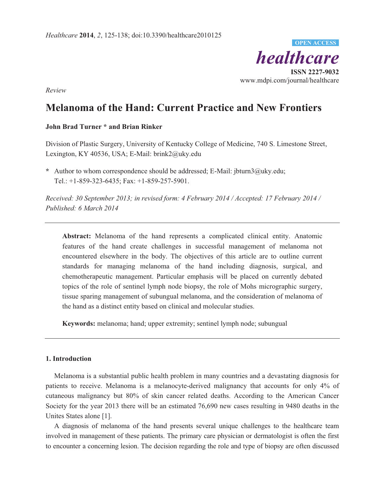

*Review* 

# **Melanoma of the Hand: Current Practice and New Frontiers**

# **John Brad Turner \* and Brian Rinker**

Division of Plastic Surgery, University of Kentucky College of Medicine, 740 S. Limestone Street, Lexington, KY 40536, USA; E-Mail: brink2@uky.edu

**\*** Author to whom correspondence should be addressed; E-Mail: jbturn3@uky.edu; Tel.: +1-859-323-6435; Fax: +1-859-257-5901.

*Received: 30 September 2013; in revised form: 4 February 2014 / Accepted: 17 February 2014 / Published: 6 March 2014* 

**Abstract:** Melanoma of the hand represents a complicated clinical entity. Anatomic features of the hand create challenges in successful management of melanoma not encountered elsewhere in the body. The objectives of this article are to outline current standards for managing melanoma of the hand including diagnosis, surgical, and chemotherapeutic management. Particular emphasis will be placed on currently debated topics of the role of sentinel lymph node biopsy, the role of Mohs micrographic surgery, tissue sparing management of subungual melanoma, and the consideration of melanoma of the hand as a distinct entity based on clinical and molecular studies.

**Keywords:** melanoma; hand; upper extremity; sentinel lymph node; subungual

# **1. Introduction**

Melanoma is a substantial public health problem in many countries and a devastating diagnosis for patients to receive. Melanoma is a melanocyte-derived malignancy that accounts for only 4% of cutaneous malignancy but 80% of skin cancer related deaths. According to the American Cancer Society for the year 2013 there will be an estimated 76,690 new cases resulting in 9480 deaths in the Unites States alone [1].

A diagnosis of melanoma of the hand presents several unique challenges to the healthcare team involved in management of these patients. The primary care physician or dermatologist is often the first to encounter a concerning lesion. The decision regarding the role and type of biopsy are often discussed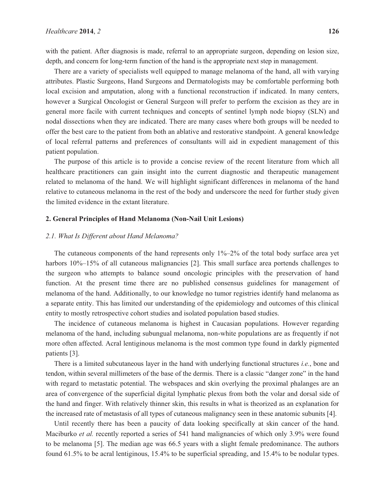with the patient. After diagnosis is made, referral to an appropriate surgeon, depending on lesion size, depth, and concern for long-term function of the hand is the appropriate next step in management.

There are a variety of specialists well equipped to manage melanoma of the hand, all with varying attributes. Plastic Surgeons, Hand Surgeons and Dermatologists may be comfortable performing both local excision and amputation, along with a functional reconstruction if indicated. In many centers, however a Surgical Oncologist or General Surgeon will prefer to perform the excision as they are in general more facile with current techniques and concepts of sentinel lymph node biopsy (SLN) and nodal dissections when they are indicated. There are many cases where both groups will be needed to offer the best care to the patient from both an ablative and restorative standpoint. A general knowledge of local referral patterns and preferences of consultants will aid in expedient management of this patient population.

The purpose of this article is to provide a concise review of the recent literature from which all healthcare practitioners can gain insight into the current diagnostic and therapeutic management related to melanoma of the hand. We will highlight significant differences in melanoma of the hand relative to cutaneous melanoma in the rest of the body and underscore the need for further study given the limited evidence in the extant literature.

# **2. General Principles of Hand Melanoma (Non-Nail Unit Lesions)**

#### *2.1. What Is Different about Hand Melanoma?*

The cutaneous components of the hand represents only  $1\% - 2\%$  of the total body surface area yet harbors 10%–15% of all cutaneous malignancies [2]. This small surface area portends challenges to the surgeon who attempts to balance sound oncologic principles with the preservation of hand function. At the present time there are no published consensus guidelines for management of melanoma of the hand. Additionally, to our knowledge no tumor registries identify hand melanoma as a separate entity. This has limited our understanding of the epidemiology and outcomes of this clinical entity to mostly retrospective cohort studies and isolated population based studies.

The incidence of cutaneous melanoma is highest in Caucasian populations. However regarding melanoma of the hand, including subungual melanoma, non-white populations are as frequently if not more often affected. Acral lentiginous melanoma is the most common type found in darkly pigmented patients [3].

There is a limited subcutaneous layer in the hand with underlying functional structures *i.e.*, bone and tendon, within several millimeters of the base of the dermis. There is a classic "danger zone" in the hand with regard to metastatic potential. The webspaces and skin overlying the proximal phalanges are an area of convergence of the superficial digital lymphatic plexus from both the volar and dorsal side of the hand and finger. With relatively thinner skin, this results in what is theorized as an explanation for the increased rate of metastasis of all types of cutaneous malignancy seen in these anatomic subunits [4].

Until recently there has been a paucity of data looking specifically at skin cancer of the hand. Maciburko *et al.* recently reported a series of 541 hand malignancies of which only 3.9% were found to be melanoma [5]. The median age was 66.5 years with a slight female predominance. The authors found 61.5% to be acral lentiginous, 15.4% to be superficial spreading, and 15.4% to be nodular types.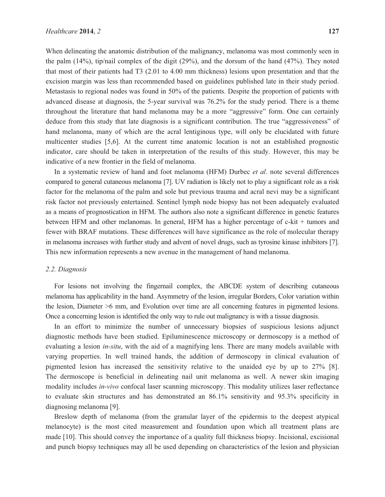When delineating the anatomic distribution of the malignancy, melanoma was most commonly seen in the palm (14%), tip/nail complex of the digit (29%), and the dorsum of the hand (47%). They noted that most of their patients had T3 (2.01 to 4.00 mm thickness) lesions upon presentation and that the excision margin was less than recommended based on guidelines published late in their study period. Metastasis to regional nodes was found in 50% of the patients. Despite the proportion of patients with advanced disease at diagnosis, the 5-year survival was 76.2% for the study period. There is a theme throughout the literature that hand melanoma may be a more "aggressive" form. One can certainly deduce from this study that late diagnosis is a significant contribution. The true "aggressiveness" of hand melanoma, many of which are the acral lentiginous type, will only be elucidated with future multicenter studies [5,6]. At the current time anatomic location is not an established prognostic indicator, care should be taken in interpretation of the results of this study. However, this may be indicative of a new frontier in the field of melanoma.

In a systematic review of hand and foot melanoma (HFM) Durbec *et al*. note several differences compared to general cutaneous melanoma [7]. UV radiation is likely not to play a significant role as a risk factor for the melanoma of the palm and sole but previous trauma and acral nevi may be a significant risk factor not previously entertained. Sentinel lymph node biopsy has not been adequately evaluated as a means of prognostication in HFM. The authors also note a significant difference in genetic features between HFM and other melanomas. In general, HFM has a higher percentage of c-kit + tumors and fewer with BRAF mutations. These differences will have significance as the role of molecular therapy in melanoma increases with further study and advent of novel drugs, such as tyrosine kinase inhibitors [7]. This new information represents a new avenue in the management of hand melanoma.

## *2.2. Diagnosis*

For lesions not involving the fingernail complex, the ABCDE system of describing cutaneous melanoma has applicability in the hand. Asymmetry of the lesion, irregular Borders, Color variation within the lesion, Diameter >6 mm, and Evolution over time are all concerning features in pigmented lesions. Once a concerning lesion is identified the only way to rule out malignancy is with a tissue diagnosis.

In an effort to minimize the number of unnecessary biopsies of suspicious lesions adjunct diagnostic methods have been studied. Epiluminescence microscopy or dermoscopy is a method of evaluating a lesion *in-situ*, with the aid of a magnifying lens. There are many models available with varying properties. In well trained hands, the addition of dermoscopy in clinical evaluation of pigmented lesion has increased the sensitivity relative to the unaided eye by up to 27% [8]. The dermoscope is beneficial in delineating nail unit melanoma as well. A newer skin imaging modality includes *in-vivo* confocal laser scanning microscopy. This modality utilizes laser reflectance to evaluate skin structures and has demonstrated an 86.1% sensitivity and 95.3% specificity in diagnosing melanoma [9].

Breslow depth of melanoma (from the granular layer of the epidermis to the deepest atypical melanocyte) is the most cited measurement and foundation upon which all treatment plans are made [10]. This should convey the importance of a quality full thickness biopsy. Incisional, excisional and punch biopsy techniques may all be used depending on characteristics of the lesion and physician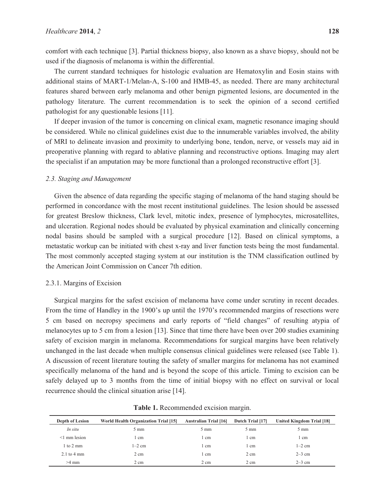comfort with each technique [3]. Partial thickness biopsy, also known as a shave biopsy, should not be used if the diagnosis of melanoma is within the differential.

The current standard techniques for histologic evaluation are Hematoxylin and Eosin stains with additional stains of MART-1/Melan-A, S-100 and HMB-45, as needed. There are many architectural features shared between early melanoma and other benign pigmented lesions, are documented in the pathology literature. The current recommendation is to seek the opinion of a second certified pathologist for any questionable lesions [11].

If deeper invasion of the tumor is concerning on clinical exam, magnetic resonance imaging should be considered. While no clinical guidelines exist due to the innumerable variables involved, the ability of MRI to delineate invasion and proximity to underlying bone, tendon, nerve, or vessels may aid in preoperative planning with regard to ablative planning and reconstructive options. Imaging may alert the specialist if an amputation may be more functional than a prolonged reconstructive effort [3].

### *2.3. Staging and Management*

Given the absence of data regarding the specific staging of melanoma of the hand staging should be performed in concordance with the most recent institutional guidelines. The lesion should be assessed for greatest Breslow thickness, Clark level, mitotic index, presence of lymphocytes, microsatellites, and ulceration. Regional nodes should be evaluated by physical examination and clinically concerning nodal basins should be sampled with a surgical procedure [12]. Based on clinical symptoms, a metastatic workup can be initiated with chest x-ray and liver function tests being the most fundamental. The most commonly accepted staging system at our institution is the TNM classification outlined by the American Joint Commission on Cancer 7th edition.

### 2.3.1. Margins of Excision

Surgical margins for the safest excision of melanoma have come under scrutiny in recent decades. From the time of Handley in the 1900's up until the 1970's recommended margins of resections were 5 cm based on necropsy specimens and early reports of "field changes" of resulting atypia of melanocytes up to 5 cm from a lesion [13]. Since that time there have been over 200 studies examining safety of excision margin in melanoma. Recommendations for surgical margins have been relatively unchanged in the last decade when multiple consensus clinical guidelines were released (see Table 1). A discussion of recent literature touting the safety of smaller margins for melanoma has not examined specifically melanoma of the hand and is beyond the scope of this article. Timing to excision can be safely delayed up to 3 months from the time of initial biopsy with no effect on survival or local recurrence should the clinical situation arise [14].

| <b>Depth of Lesion</b> | <b>World Health Organization Trial [15]</b> | <b>Australian Trial [16]</b> | Dutch Trial [17] | <b>United Kingdom Trial [18]</b> |
|------------------------|---------------------------------------------|------------------------------|------------------|----------------------------------|
| In situ                | $5 \text{ mm}$                              | $5 \text{ mm}$               | $5 \text{ mm}$   | $5 \text{ mm}$                   |
| $\leq$ 1 mm lesion     | cm                                          | cm                           | cm               | cm                               |
| 1 to 2 mm              | $1-2$ cm                                    | cm                           | l cm             | $1-2$ cm                         |
| 2.1 to 4 mm            | 2 cm                                        | cm                           | 2 cm             | $2-3$ cm                         |
| $>4$ mm                | 2 cm                                        | 2 cm                         | 2 cm             | $2-3$ cm                         |

**Table 1.** Recommended excision margin.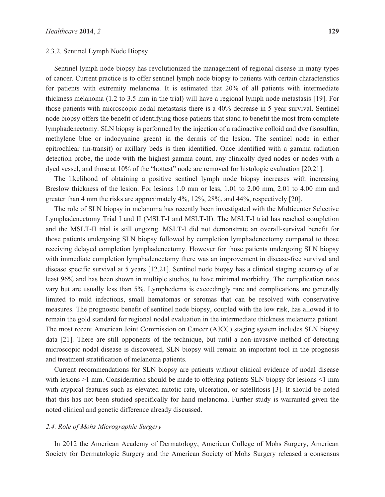#### 2.3.2. Sentinel Lymph Node Biopsy

Sentinel lymph node biopsy has revolutionized the management of regional disease in many types of cancer. Current practice is to offer sentinel lymph node biopsy to patients with certain characteristics for patients with extremity melanoma. It is estimated that 20% of all patients with intermediate thickness melanoma (1.2 to 3.5 mm in the trial) will have a regional lymph node metastasis [19]. For those patients with microscopic nodal metastasis there is a 40% decrease in 5-year survival. Sentinel node biopsy offers the benefit of identifying those patients that stand to benefit the most from complete lymphadenectomy. SLN biopsy is performed by the injection of a radioactive colloid and dye (isosulfan, methylene blue or indocyanine green) in the dermis of the lesion. The sentinel node in either epitrochlear (in-transit) or axillary beds is then identified. Once identified with a gamma radiation detection probe, the node with the highest gamma count, any clinically dyed nodes or nodes with a dyed vessel, and those at 10% of the "hottest" node are removed for histologic evaluation [20,21].

The likelihood of obtaining a positive sentinel lymph node biopsy increases with increasing Breslow thickness of the lesion. For lesions 1.0 mm or less, 1.01 to 2.00 mm, 2.01 to 4.00 mm and greater than 4 mm the risks are approximately 4%, 12%, 28%, and 44%, respectively [20].

The role of SLN biopsy in melanoma has recently been investigated with the Multicenter Selective Lymphadenectomy Trial I and II (MSLT-I and MSLT-II). The MSLT-I trial has reached completion and the MSLT-II trial is still ongoing. MSLT-I did not demonstrate an overall-survival benefit for those patients undergoing SLN biopsy followed by completion lymphadenectomy compared to those receiving delayed completion lymphadenectomy. However for those patients undergoing SLN biopsy with immediate completion lymphadenectomy there was an improvement in disease-free survival and disease specific survival at 5 years [12,21]. Sentinel node biopsy has a clinical staging accuracy of at least 96% and has been shown in multiple studies, to have minimal morbidity. The complication rates vary but are usually less than 5%. Lymphedema is exceedingly rare and complications are generally limited to mild infections, small hematomas or seromas that can be resolved with conservative measures. The prognostic benefit of sentinel node biopsy, coupled with the low risk, has allowed it to remain the gold standard for regional nodal evaluation in the intermediate thickness melanoma patient. The most recent American Joint Commission on Cancer (AJCC) staging system includes SLN biopsy data [21]. There are still opponents of the technique, but until a non-invasive method of detecting microscopic nodal disease is discovered, SLN biopsy will remain an important tool in the prognosis and treatment stratification of melanoma patients.

Current recommendations for SLN biopsy are patients without clinical evidence of nodal disease with lesions >1 mm. Consideration should be made to offering patients SLN biopsy for lesions <1 mm with atypical features such as elevated mitotic rate, ulceration, or satellitosis [3]. It should be noted that this has not been studied specifically for hand melanoma. Further study is warranted given the noted clinical and genetic difference already discussed.

#### *2.4. Role of Mohs Micrographic Surgery*

In 2012 the American Academy of Dermatology, American College of Mohs Surgery, American Society for Dermatologic Surgery and the American Society of Mohs Surgery released a consensus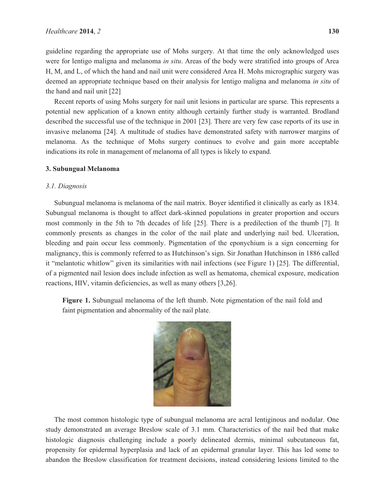guideline regarding the appropriate use of Mohs surgery. At that time the only acknowledged uses were for lentigo maligna and melanoma *in situ*. Areas of the body were stratified into groups of Area H, M, and L, of which the hand and nail unit were considered Area H. Mohs micrographic surgery was deemed an appropriate technique based on their analysis for lentigo maligna and melanoma *in situ* of the hand and nail unit [22]

Recent reports of using Mohs surgery for nail unit lesions in particular are sparse. This represents a potential new application of a known entity although certainly further study is warranted. Brodland described the successful use of the technique in 2001 [23]. There are very few case reports of its use in invasive melanoma [24]. A multitude of studies have demonstrated safety with narrower margins of melanoma. As the technique of Mohs surgery continues to evolve and gain more acceptable indications its role in management of melanoma of all types is likely to expand.

## **3. Subungual Melanoma**

### *3.1. Diagnosis*

Subungual melanoma is melanoma of the nail matrix. Boyer identified it clinically as early as 1834. Subungual melanoma is thought to affect dark-skinned populations in greater proportion and occurs most commonly in the 5th to 7th decades of life [25]. There is a predilection of the thumb [7]. It commonly presents as changes in the color of the nail plate and underlying nail bed. Ulceration, bleeding and pain occur less commonly. Pigmentation of the eponychium is a sign concerning for malignancy, this is commonly referred to as Hutchinson's sign. Sir Jonathan Hutchinson in 1886 called it "melantotic whitlow" given its similarities with nail infections (see Figure 1) [25]. The differential, of a pigmented nail lesion does include infection as well as hematoma, chemical exposure, medication reactions, HIV, vitamin deficiencies, as well as many others [3,26].

**Figure 1.** Subungual melanoma of the left thumb. Note pigmentation of the nail fold and faint pigmentation and abnormality of the nail plate.



The most common histologic type of subungual melanoma are acral lentiginous and nodular. One study demonstrated an average Breslow scale of 3.1 mm. Characteristics of the nail bed that make histologic diagnosis challenging include a poorly delineated dermis, minimal subcutaneous fat, propensity for epidermal hyperplasia and lack of an epidermal granular layer. This has led some to abandon the Breslow classification for treatment decisions, instead considering lesions limited to the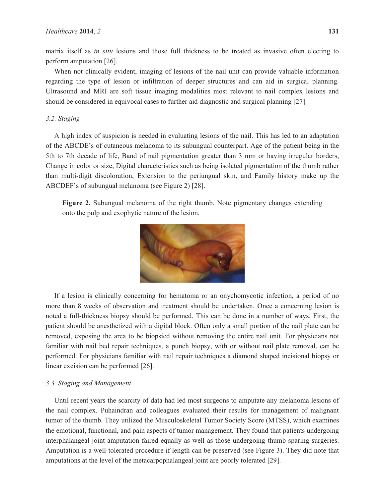matrix itself as *in situ* lesions and those full thickness to be treated as invasive often electing to perform amputation [26].

When not clinically evident, imaging of lesions of the nail unit can provide valuable information regarding the type of lesion or infiltration of deeper structures and can aid in surgical planning. Ultrasound and MRI are soft tissue imaging modalities most relevant to nail complex lesions and should be considered in equivocal cases to further aid diagnostic and surgical planning [27].

## *3.2. Staging*

A high index of suspicion is needed in evaluating lesions of the nail. This has led to an adaptation of the ABCDE's of cutaneous melanoma to its subungual counterpart. Age of the patient being in the 5th to 7th decade of life, Band of nail pigmentation greater than 3 mm or having irregular borders, Change in color or size, Digital characteristics such as being isolated pigmentation of the thumb rather than multi-digit discoloration, Extension to the periungual skin, and Family history make up the ABCDEF's of subungual melanoma (see Figure 2) [28].

**Figure 2.** Subungual melanoma of the right thumb. Note pigmentary changes extending onto the pulp and exophytic nature of the lesion.



If a lesion is clinically concerning for hematoma or an onychomycotic infection, a period of no more than 8 weeks of observation and treatment should be undertaken. Once a concerning lesion is noted a full-thickness biopsy should be performed. This can be done in a number of ways. First, the patient should be anesthetized with a digital block. Often only a small portion of the nail plate can be removed, exposing the area to be biopsied without removing the entire nail unit. For physicians not familiar with nail bed repair techniques, a punch biopsy, with or without nail plate removal, can be performed. For physicians familiar with nail repair techniques a diamond shaped incisional biopsy or linear excision can be performed [26].

# *3.3. Staging and Management*

Until recent years the scarcity of data had led most surgeons to amputate any melanoma lesions of the nail complex. Puhaindran and colleagues evaluated their results for management of malignant tumor of the thumb. They utilized the Musculoskeletal Tumor Society Score (MTSS), which examines the emotional, functional, and pain aspects of tumor management. They found that patients undergoing interphalangeal joint amputation faired equally as well as those undergoing thumb-sparing surgeries. Amputation is a well-tolerated procedure if length can be preserved (see Figure 3). They did note that amputations at the level of the metacarpophalangeal joint are poorly tolerated [29].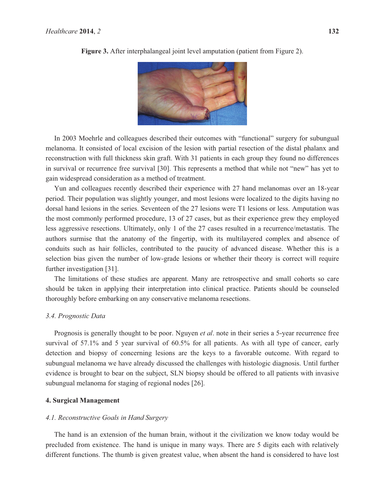

**Figure 3.** After interphalangeal joint level amputation (patient from Figure 2).

In 2003 Moehrle and colleagues described their outcomes with "functional" surgery for subungual melanoma. It consisted of local excision of the lesion with partial resection of the distal phalanx and reconstruction with full thickness skin graft. With 31 patients in each group they found no differences in survival or recurrence free survival [30]. This represents a method that while not "new" has yet to gain widespread consideration as a method of treatment.

Yun and colleagues recently described their experience with 27 hand melanomas over an 18-year period. Their population was slightly younger, and most lesions were localized to the digits having no dorsal hand lesions in the series. Seventeen of the 27 lesions were T1 lesions or less. Amputation was the most commonly performed procedure, 13 of 27 cases, but as their experience grew they employed less aggressive resections. Ultimately, only 1 of the 27 cases resulted in a recurrence/metastatis. The authors surmise that the anatomy of the fingertip, with its multilayered complex and absence of conduits such as hair follicles, contributed to the paucity of advanced disease. Whether this is a selection bias given the number of low-grade lesions or whether their theory is correct will require further investigation [31].

The limitations of these studies are apparent. Many are retrospective and small cohorts so care should be taken in applying their interpretation into clinical practice. Patients should be counseled thoroughly before embarking on any conservative melanoma resections.

#### *3.4. Prognostic Data*

Prognosis is generally thought to be poor. Nguyen *et al*. note in their series a 5-year recurrence free survival of 57.1% and 5 year survival of 60.5% for all patients. As with all type of cancer, early detection and biopsy of concerning lesions are the keys to a favorable outcome. With regard to subungual melanoma we have already discussed the challenges with histologic diagnosis. Until further evidence is brought to bear on the subject, SLN biopsy should be offered to all patients with invasive subungual melanoma for staging of regional nodes [26].

### **4. Surgical Management**

#### *4.1. Reconstructive Goals in Hand Surgery*

The hand is an extension of the human brain, without it the civilization we know today would be precluded from existence. The hand is unique in many ways. There are 5 digits each with relatively different functions. The thumb is given greatest value, when absent the hand is considered to have lost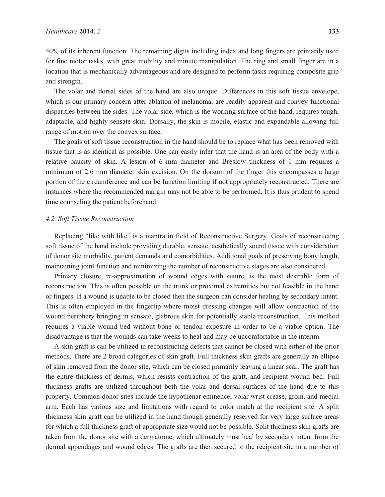40% of its inherent function. The remaining digits including index and long fingers are primarily used for fine motor tasks, with great mobility and minute manipulation. The ring and small finger are in a location that is mechanically advantageous and are designed to perform tasks requiring composite grip and strength.

The volar and dorsal sides of the hand are also unique. Differences in this soft tissue envelope, which is our primary concern after ablation of melanoma, are readily apparent and convey functional disparities between the sides. The volar side, which is the working surface of the hand, requires tough, adaptable, and highly sensate skin. Dorsally, the skin is mobile, elastic and expandable allowing full range of motion over the convex surface.

The goals of soft tissue reconstruction in the hand should be to replace what has been removed with tissue that is as identical as possible. One can easily infer that the hand is an area of the body with a relative paucity of skin. A lesion of 6 mm diameter and Breslow thickness of 1 mm requires a minimum of 2.6 mm diameter skin excision. On the dorsum of the finger this encompasses a large portion of the circumference and can be function limiting if not appropriately reconstructed. There are instances where the recommended margin may not be able to be performed. It is thus prudent to spend time counseling the patient beforehand.

#### *4.2. Soft Tissue Reconstruction*

Replacing "like with like" is a mantra in field of Reconstructive Surgery. Goals of reconstructing soft tissue of the hand include providing durable, sensate, aesthetically sound tissue with consideration of donor site morbidity, patient demands and comorbidities. Additional goals of preserving bony length, maintaining joint function and minimizing the number of reconstructive stages are also considered.

Primary closure, re-approximation of wound edges with suture, is the most desirable form of reconstruction. This is often possible on the trunk or proximal extremities but not feasible in the hand or fingers. If a wound is unable to be closed then the surgeon can consider healing by secondary intent. This is often employed in the fingertip where moist dressing changes will allow contraction of the wound periphery bringing in sensate, glabrous skin for potentially stable reconstruction. This method requires a viable wound bed without bone or tendon exposure in order to be a viable option. The disadvantage is that the wounds can take weeks to heal and may be uncomfortable in the interim.

A skin graft is can be utilized in reconstructing defects that cannot be closed with either of the prior methods. There are 2 broad categories of skin graft. Full thickness skin grafts are generally an ellipse of skin removed from the donor site, which can be closed primarily leaving a linear scar. The graft has the entire thickness of dermis, which resists contraction of the graft, and recipient wound bed. Full thickness grafts are utilized throughout both the volar and dorsal surfaces of the hand due to this property. Common donor sites include the hypothenar eminence, volar wrist crease, groin, and medial arm. Each has various size and limitations with regard to color match at the recipient site. A split thickness skin graft can be utilized in the hand though generally reserved for very large surface areas for which a full thickness graft of appropriate size would not be possible. Split thickness skin grafts are taken from the donor site with a dermatome, which ultimately must heal by secondary intent from the dermal appendages and wound edges. The grafts are then secured to the recipient site in a number of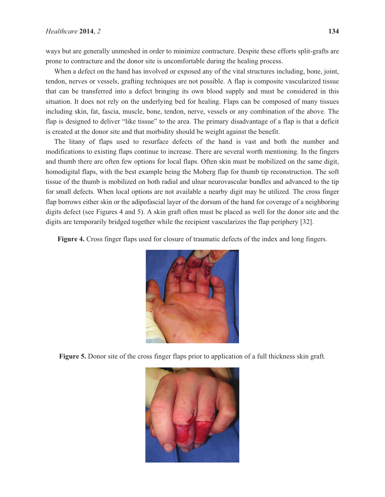ways but are generally unmeshed in order to minimize contracture. Despite these efforts split-grafts are prone to contracture and the donor site is uncomfortable during the healing process.

When a defect on the hand has involved or exposed any of the vital structures including, bone, joint, tendon, nerves or vessels, grafting techniques are not possible. A flap is composite vascularized tissue that can be transferred into a defect bringing its own blood supply and must be considered in this situation. It does not rely on the underlying bed for healing. Flaps can be composed of many tissues including skin, fat, fascia, muscle, bone, tendon, nerve, vessels or any combination of the above. The flap is designed to deliver "like tissue" to the area. The primary disadvantage of a flap is that a deficit is created at the donor site and that morbidity should be weight against the benefit.

The litany of flaps used to resurface defects of the hand is vast and both the number and modifications to existing flaps continue to increase. There are several worth mentioning. In the fingers and thumb there are often few options for local flaps. Often skin must be mobilized on the same digit, homodigital flaps, with the best example being the Moberg flap for thumb tip reconstruction. The soft tissue of the thumb is mobilized on both radial and ulnar neurovascular bundles and advanced to the tip for small defects. When local options are not available a nearby digit may be utilized. The cross finger flap borrows either skin or the adipofascial layer of the dorsum of the hand for coverage of a neighboring digits defect (see Figures 4 and 5). A skin graft often must be placed as well for the donor site and the digits are temporarily bridged together while the recipient vascularizes the flap periphery [32].

**Figure 4.** Cross finger flaps used for closure of traumatic defects of the index and long fingers.



**Figure 5.** Donor site of the cross finger flaps prior to application of a full thickness skin graft.

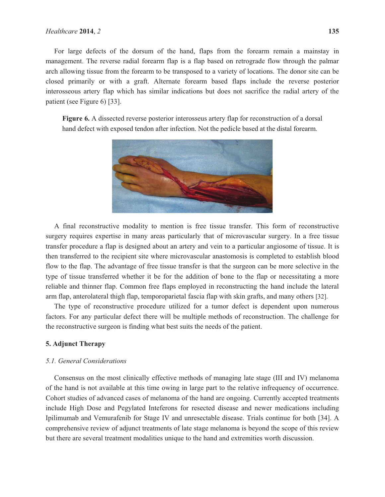For large defects of the dorsum of the hand, flaps from the forearm remain a mainstay in management. The reverse radial forearm flap is a flap based on retrograde flow through the palmar arch allowing tissue from the forearm to be transposed to a variety of locations. The donor site can be closed primarily or with a graft. Alternate forearm based flaps include the reverse posterior interosseous artery flap which has similar indications but does not sacrifice the radial artery of the patient (see Figure 6) [33].

**Figure 6.** A dissected reverse posterior interosseus artery flap for reconstruction of a dorsal hand defect with exposed tendon after infection. Not the pedicle based at the distal forearm.



A final reconstructive modality to mention is free tissue transfer. This form of reconstructive surgery requires expertise in many areas particularly that of microvascular surgery. In a free tissue transfer procedure a flap is designed about an artery and vein to a particular angiosome of tissue. It is then transferred to the recipient site where microvascular anastomosis is completed to establish blood flow to the flap. The advantage of free tissue transfer is that the surgeon can be more selective in the type of tissue transferred whether it be for the addition of bone to the flap or necessitating a more reliable and thinner flap. Common free flaps employed in reconstructing the hand include the lateral arm flap, anterolateral thigh flap, temporoparietal fascia flap with skin grafts, and many others [32].

The type of reconstructive procedure utilized for a tumor defect is dependent upon numerous factors. For any particular defect there will be multiple methods of reconstruction. The challenge for the reconstructive surgeon is finding what best suits the needs of the patient.

# **5. Adjunct Therapy**

#### *5.1. General Considerations*

Consensus on the most clinically effective methods of managing late stage (III and IV) melanoma of the hand is not available at this time owing in large part to the relative infrequency of occurrence. Cohort studies of advanced cases of melanoma of the hand are ongoing. Currently accepted treatments include High Dose and Pegylated Inteferons for resected disease and newer medications including Ipilimumab and Vemurafenib for Stage IV and unresectable disease. Trials continue for both [34]. A comprehensive review of adjunct treatments of late stage melanoma is beyond the scope of this review but there are several treatment modalities unique to the hand and extremities worth discussion.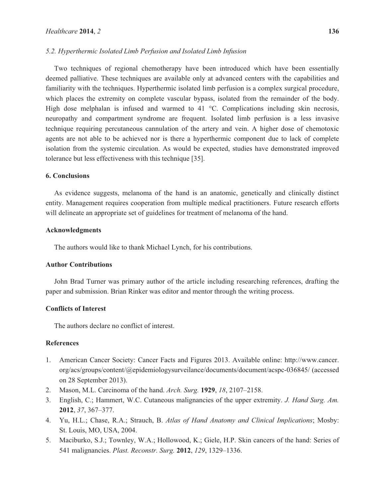#### *5.2. Hyperthermic Isolated Limb Perfusion and Isolated Limb Infusion*

Two techniques of regional chemotherapy have been introduced which have been essentially deemed palliative. These techniques are available only at advanced centers with the capabilities and familiarity with the techniques. Hyperthermic isolated limb perfusion is a complex surgical procedure, which places the extremity on complete vascular bypass, isolated from the remainder of the body. High dose melphalan is infused and warmed to 41 °C. Complications including skin necrosis, neuropathy and compartment syndrome are frequent. Isolated limb perfusion is a less invasive technique requiring percutaneous cannulation of the artery and vein. A higher dose of chemotoxic agents are not able to be achieved nor is there a hyperthermic component due to lack of complete isolation from the systemic circulation. As would be expected, studies have demonstrated improved tolerance but less effectiveness with this technique [35].

# **6. Conclusions**

As evidence suggests, melanoma of the hand is an anatomic, genetically and clinically distinct entity. Management requires cooperation from multiple medical practitioners. Future research efforts will delineate an appropriate set of guidelines for treatment of melanoma of the hand.

#### **Acknowledgments**

The authors would like to thank Michael Lynch, for his contributions.

#### **Author Contributions**

John Brad Turner was primary author of the article including researching references, drafting the paper and submission. Brian Rinker was editor and mentor through the writing process.

# **Conflicts of Interest**

The authors declare no conflict of interest.

#### **References**

- 1. American Cancer Society: Cancer Facts and Figures 2013. Available online: http://www.cancer. org/acs/groups/content/@epidemiologysurveilance/documents/document/acspc-036845/ (accessed on 28 September 2013).
- 2. Mason, M.L. Carcinoma of the hand. *Arch. Surg.* **1929**, *18*, 2107–2158.
- 3. English, C.; Hammert, W.C. Cutaneous malignancies of the upper extremity. *J. Hand Surg. Am.* **2012**, *37*, 367–377.
- 4. Yu, H.L.; Chase, R.A.; Strauch, B. *Atlas of Hand Anatomy and Clinical Implications*; Mosby: St. Louis, MO, USA, 2004.
- 5. Maciburko, S.J.; Townley, W.A.; Hollowood, K.; Giele, H.P. Skin cancers of the hand: Series of 541 malignancies. *Plast. Reconstr. Surg.* **2012**, *129*, 1329–1336.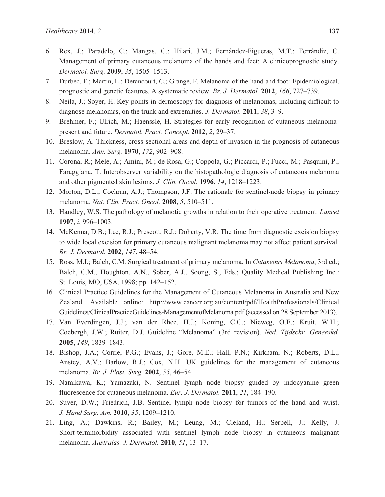- 6. Rex, J.; Paradelo, C.; Mangas, C.; Hilari, J.M.; Fernández-Figueras, M.T.; Ferrándiz, C. Management of primary cutaneous melanoma of the hands and feet: A clinicoprognostic study. *Dermatol. Surg.* **2009**, *35*, 1505–1513.
- 7. Durbec, F.; Martin, L.; Derancourt, C.; Grange, F. Melanoma of the hand and foot: Epidemiological, prognostic and genetic features. A systematic review. *Br. J. Dermatol.* **2012**, *166*, 727–739.
- 8. Neila, J.; Soyer, H. Key points in dermoscopy for diagnosis of melanomas, including difficult to diagnose melanomas, on the trunk and extremities. *J. Dermatol.* **2011**, *38*, 3–9.
- 9. Brehmer, F.; Ulrich, M.; Haenssle, H. Strategies for early recognition of cutaneous melanomapresent and future. *Dermatol. Pract. Concept.* **2012**, *2*, 29–37.
- 10. Breslow, A. Thickness, cross-sectional areas and depth of invasion in the prognosis of cutaneous melanoma. *Ann. Surg.* **1970**, *172*, 902–908.
- 11. Corona, R.; Mele, A.; Amini, M.; de Rosa, G.; Coppola, G.; Piccardi, P.; Fucci, M.; Pasquini, P.; Faraggiana, T. Interobserver variability on the histopathologic diagnosis of cutaneous melanoma and other pigmented skin lesions. *J. Clin. Oncol.* **1996**, *14*, 1218–1223.
- 12. Morton, D.L.; Cochran, A.J.; Thompson, J.F. The rationale for sentinel-node biopsy in primary melanoma. *Nat. Clin. Pract. Oncol.* **2008**, *5*, 510–511.
- 13. Handley, W.S. The pathology of melanotic growths in relation to their operative treatment. *Lancet* **1907**, *i*, 996–1003.
- 14. McKenna, D.B.; Lee, R.J.; Prescott, R.J.; Doherty, V.R. The time from diagnostic excision biopsy to wide local excision for primary cutaneous malignant melanoma may not affect patient survival. *Br. J. Dermatol.* **2002**, *147*, 48–54.
- 15. Ross, M.I.; Balch, C.M. Surgical treatment of primary melanoma. In *Cutaneous Melanoma*, 3rd ed.; Balch, C.M., Houghton, A.N., Sober, A.J., Soong, S., Eds.; Quality Medical Publishing Inc.: St. Louis, MO, USA, 1998; pp. 142–152.
- 16. Clinical Practice Guidelines for the Management of Cutaneous Melanoma in Australia and New Zealand. Available online: http://www.cancer.org.au/content/pdf/HealthProfessionals/Clinical Guidelines/ClinicalPracticeGuidelines-ManagementofMelanoma.pdf (accessed on 28 September 2013).
- 17. Van Everdingen, J.J.; van der Rhee, H.J.; Koning, C.C.; Nieweg, O.E.; Kruit, W.H.; Coebergh, J.W.; Ruiter, D.J. Guideline "Melanoma" (3rd revision). *Ned. Tijdschr. Geneeskd.* **2005**, *149*, 1839–1843.
- 18. Bishop, J.A.; Corrie, P.G.; Evans, J.; Gore, M.E.; Hall, P.N.; Kirkham, N.; Roberts, D.L.; Anstey, A.V.; Barlow, R.J.; Cox, N.H. UK guidelines for the management of cutaneous melanoma. *Br. J. Plast. Surg.* **2002**, *55*, 46–54.
- 19. Namikawa, K.; Yamazaki, N. Sentinel lymph node biopsy guided by indocyanine green fluorescence for cutaneous melanoma. *Eur. J. Dermatol.* **2011**, *21*, 184–190.
- 20. Suver, D.W.; Friedrich, J.B. Sentinel lymph node biopsy for tumors of the hand and wrist. *J. Hand Surg. Am.* **2010**, *35*, 1209–1210.
- 21. Ling, A.; Dawkins, R.; Bailey, M.; Leung, M.; Cleland, H.; Serpell, J.; Kelly, J. Short-termmorbidity associated with sentinel lymph node biopsy in cutaneous malignant melanoma. *Australas. J. Dermatol.* **2010**, *51*, 13–17.